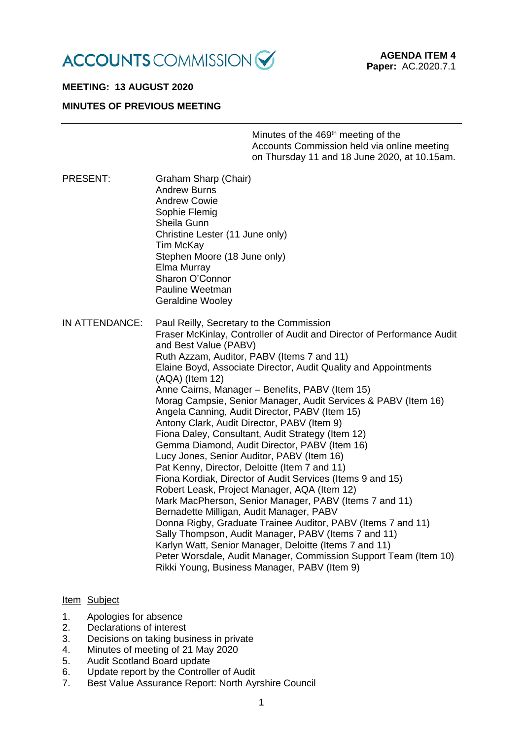

# **MEETING: 13 AUGUST 2020**

# **MINUTES OF PREVIOUS MEETING**

Minutes of the 469<sup>th</sup> meeting of the Accounts Commission held via online meeting on Thursday 11 and 18 June 2020, at 10.15am.

PRESENT: Graham Sharp (Chair) Andrew Burns Andrew Cowie Sophie Flemig Sheila Gunn Christine Lester (11 June only) Tim McKay Stephen Moore (18 June only) Elma Murray Sharon O'Connor Pauline Weetman Geraldine Wooley IN ATTENDANCE: Paul Reilly, Secretary to the Commission Fraser McKinlay, Controller of Audit and Director of Performance Audit and Best Value (PABV) Ruth Azzam, Auditor, PABV (Items 7 and 11) Elaine Boyd, Associate Director, Audit Quality and Appointments (AQA) (Item 12) Anne Cairns, Manager – Benefits, PABV (Item 15) Morag Campsie, Senior Manager, Audit Services & PABV (Item 16) Angela Canning, Audit Director, PABV (Item 15) Antony Clark, Audit Director, PABV (Item 9) Fiona Daley, Consultant, Audit Strategy (Item 12) Gemma Diamond, Audit Director, PABV (Item 16) Lucy Jones, Senior Auditor, PABV (Item 16) Pat Kenny, Director, Deloitte (Item 7 and 11) Fiona Kordiak, Director of Audit Services (Items 9 and 15) Robert Leask, Project Manager, AQA (Item 12) Mark MacPherson, Senior Manager, PABV (Items 7 and 11) Bernadette Milligan, Audit Manager, PABV Donna Rigby, Graduate Trainee Auditor, PABV (Items 7 and 11) Sally Thompson, Audit Manager, PABV (Items 7 and 11) Karlyn Watt, Senior Manager, Deloitte (Items 7 and 11) Peter Worsdale, Audit Manager, Commission Support Team (Item 10) Rikki Young, Business Manager, PABV (Item 9)

# Item Subject

- 1. Apologies for absence
- 2. Declarations of interest
- 3. Decisions on taking business in private
- 4. Minutes of meeting of 21 May 2020
- 5. Audit Scotland Board update
- 6. Update report by the Controller of Audit
- 7. Best Value Assurance Report: North Ayrshire Council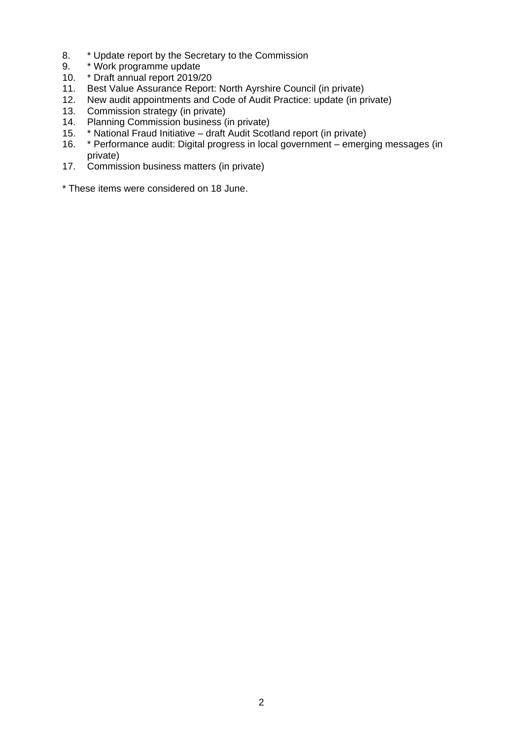- 8. \* Update report by the Secretary to the Commission
- 9. \* Work programme update
- 10. \* Draft annual report 2019/20
- 11. Best Value Assurance Report: North Ayrshire Council (in private)
- 12. New audit appointments and Code of Audit Practice: update (in private)
- 13. Commission strategy (in private)
- 14. Planning Commission business (in private)
- 15. \* National Fraud Initiative draft Audit Scotland report (in private)
- 16. \* Performance audit: Digital progress in local government emerging messages (in private)
- 17. Commission business matters (in private)
- \* These items were considered on 18 June.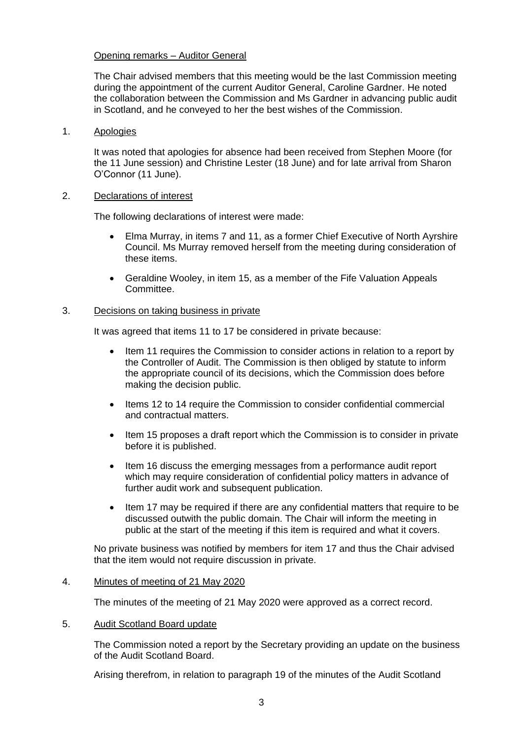# Opening remarks – Auditor General

The Chair advised members that this meeting would be the last Commission meeting during the appointment of the current Auditor General, Caroline Gardner. He noted the collaboration between the Commission and Ms Gardner in advancing public audit in Scotland, and he conveyed to her the best wishes of the Commission.

### 1. Apologies

It was noted that apologies for absence had been received from Stephen Moore (for the 11 June session) and Christine Lester (18 June) and for late arrival from Sharon O'Connor (11 June).

## 2. Declarations of interest

The following declarations of interest were made:

- Elma Murray, in items 7 and 11, as a former Chief Executive of North Ayrshire Council. Ms Murray removed herself from the meeting during consideration of these items.
- Geraldine Wooley, in item 15, as a member of the Fife Valuation Appeals Committee.

## 3. Decisions on taking business in private

It was agreed that items 11 to 17 be considered in private because:

- Item 11 requires the Commission to consider actions in relation to a report by the Controller of Audit. The Commission is then obliged by statute to inform the appropriate council of its decisions, which the Commission does before making the decision public.
- Items 12 to 14 require the Commission to consider confidential commercial and contractual matters.
- Item 15 proposes a draft report which the Commission is to consider in private before it is published.
- Item 16 discuss the emerging messages from a performance audit report which may require consideration of confidential policy matters in advance of further audit work and subsequent publication.
- Item 17 may be required if there are any confidential matters that require to be discussed outwith the public domain. The Chair will inform the meeting in public at the start of the meeting if this item is required and what it covers.

No private business was notified by members for item 17 and thus the Chair advised that the item would not require discussion in private.

# 4. Minutes of meeting of 21 May 2020

The minutes of the meeting of 21 May 2020 were approved as a correct record.

### 5. Audit Scotland Board update

The Commission noted a report by the Secretary providing an update on the business of the Audit Scotland Board.

Arising therefrom, in relation to paragraph 19 of the minutes of the Audit Scotland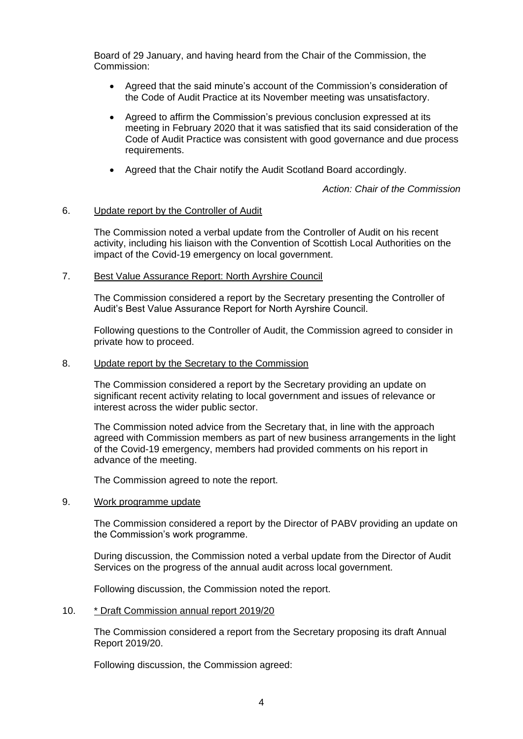Board of 29 January, and having heard from the Chair of the Commission, the Commission:

- Agreed that the said minute's account of the Commission's consideration of the Code of Audit Practice at its November meeting was unsatisfactory.
- Agreed to affirm the Commission's previous conclusion expressed at its meeting in February 2020 that it was satisfied that its said consideration of the Code of Audit Practice was consistent with good governance and due process requirements.
- Agreed that the Chair notify the Audit Scotland Board accordingly.

*Action: Chair of the Commission*

### 6. Update report by the Controller of Audit

The Commission noted a verbal update from the Controller of Audit on his recent activity, including his liaison with the Convention of Scottish Local Authorities on the impact of the Covid-19 emergency on local government.

## 7. Best Value Assurance Report: North Ayrshire Council

The Commission considered a report by the Secretary presenting the Controller of Audit's Best Value Assurance Report for North Ayrshire Council.

Following questions to the Controller of Audit, the Commission agreed to consider in private how to proceed.

#### 8. Update report by the Secretary to the Commission

The Commission considered a report by the Secretary providing an update on significant recent activity relating to local government and issues of relevance or interest across the wider public sector.

The Commission noted advice from the Secretary that, in line with the approach agreed with Commission members as part of new business arrangements in the light of the Covid-19 emergency, members had provided comments on his report in advance of the meeting.

The Commission agreed to note the report.

#### 9. Work programme update

The Commission considered a report by the Director of PABV providing an update on the Commission's work programme.

During discussion, the Commission noted a verbal update from the Director of Audit Services on the progress of the annual audit across local government.

Following discussion, the Commission noted the report.

### 10. \* Draft Commission annual report 2019/20

The Commission considered a report from the Secretary proposing its draft Annual Report 2019/20.

Following discussion, the Commission agreed: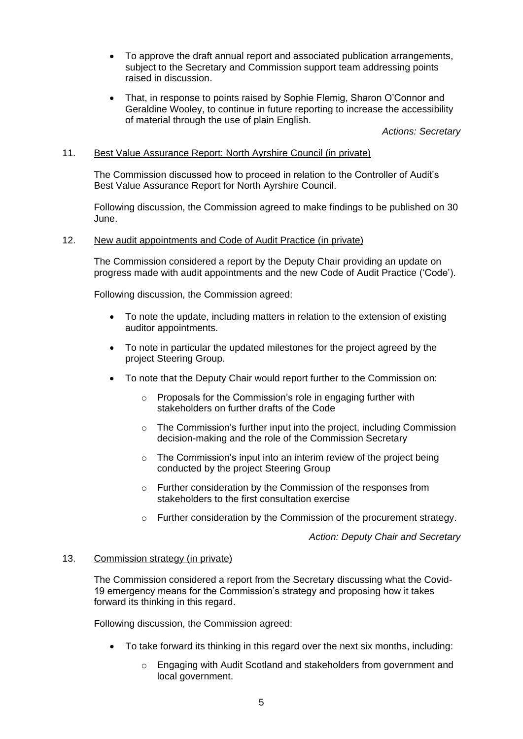- To approve the draft annual report and associated publication arrangements, subject to the Secretary and Commission support team addressing points raised in discussion.
- That, in response to points raised by Sophie Flemig, Sharon O'Connor and Geraldine Wooley, to continue in future reporting to increase the accessibility of material through the use of plain English.

*Actions: Secretary*

## 11. Best Value Assurance Report: North Ayrshire Council (in private)

The Commission discussed how to proceed in relation to the Controller of Audit's Best Value Assurance Report for North Ayrshire Council.

Following discussion, the Commission agreed to make findings to be published on 30 June.

### 12. New audit appointments and Code of Audit Practice (in private)

The Commission considered a report by the Deputy Chair providing an update on progress made with audit appointments and the new Code of Audit Practice ('Code').

Following discussion, the Commission agreed:

- To note the update, including matters in relation to the extension of existing auditor appointments.
- To note in particular the updated milestones for the project agreed by the project Steering Group.
- To note that the Deputy Chair would report further to the Commission on:
	- o Proposals for the Commission's role in engaging further with stakeholders on further drafts of the Code
	- o The Commission's further input into the project, including Commission decision-making and the role of the Commission Secretary
	- $\circ$  The Commission's input into an interim review of the project being conducted by the project Steering Group
	- o Further consideration by the Commission of the responses from stakeholders to the first consultation exercise
	- o Further consideration by the Commission of the procurement strategy.

*Action: Deputy Chair and Secretary*

### 13. Commission strategy (in private)

The Commission considered a report from the Secretary discussing what the Covid-19 emergency means for the Commission's strategy and proposing how it takes forward its thinking in this regard.

Following discussion, the Commission agreed:

- To take forward its thinking in this regard over the next six months, including:
	- o Engaging with Audit Scotland and stakeholders from government and local government.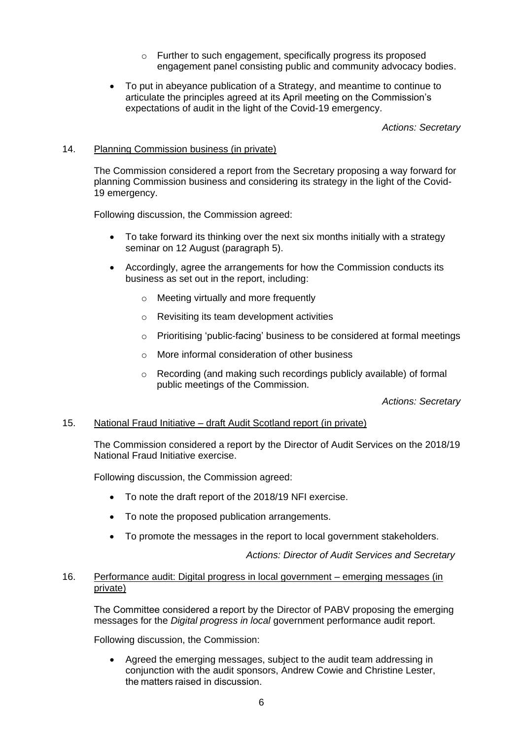- o Further to such engagement, specifically progress its proposed engagement panel consisting public and community advocacy bodies.
- To put in abeyance publication of a Strategy, and meantime to continue to articulate the principles agreed at its April meeting on the Commission's expectations of audit in the light of the Covid-19 emergency.

*Actions: Secretary*

# 14. Planning Commission business (in private)

The Commission considered a report from the Secretary proposing a way forward for planning Commission business and considering its strategy in the light of the Covid-19 emergency.

Following discussion, the Commission agreed:

- To take forward its thinking over the next six months initially with a strategy seminar on 12 August (paragraph 5).
- Accordingly, agree the arrangements for how the Commission conducts its business as set out in the report, including:
	- $\circ$  Meeting virtually and more frequently
	- o Revisiting its team development activities
	- o Prioritising 'public-facing' business to be considered at formal meetings
	- $\circ$  More informal consideration of other business
	- o Recording (and making such recordings publicly available) of formal public meetings of the Commission.

*Actions: Secretary*

# 15. National Fraud Initiative – draft Audit Scotland report (in private)

The Commission considered a report by the Director of Audit Services on the 2018/19 National Fraud Initiative exercise.

Following discussion, the Commission agreed:

- To note the draft report of the 2018/19 NFI exercise.
- To note the proposed publication arrangements.
- To promote the messages in the report to local government stakeholders.

*Actions: Director of Audit Services and Secretary*

## 16. Performance audit: Digital progress in local government – emerging messages (in private)

The Committee considered a report by the Director of PABV proposing the emerging messages for the *Digital progress in local* government performance audit report. 

Following discussion, the Commission:

• Agreed the emerging messages, subject to the audit team addressing in conjunction with the audit sponsors, Andrew Cowie and Christine Lester, the matters raised in discussion.